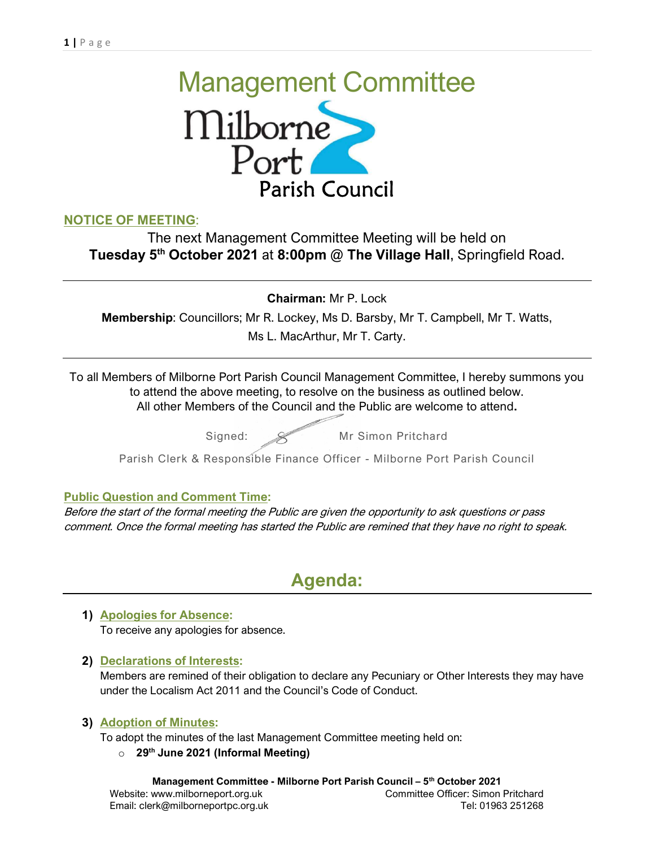# Management Committee<br>
Milborne<br>
Port Parish Council

# NOTICE OF MEETING:

The next Management Committee Meeting will be held on Tuesday 5<sup>th</sup> October 2021 at 8:00pm @ The Village Hall, Springfield Road.

Chairman: Mr P. Lock

Membership: Councillors; Mr R. Lockey, Ms D. Barsby, Mr T. Campbell, Mr T. Watts, Ms L. MacArthur, Mr T. Carty.

To all Members of Milborne Port Parish Council Management Committee, I hereby summons you to attend the above meeting, to resolve on the business as outlined below. All other Members of the Council and the Public are welcome to attend.

Signed: Wr Simon Pritchard

Parish Clerk & Responsible Finance Officer - Milborne Port Parish Council

### Public Question and Comment Time:

Before the start of the formal meeting the Public are given the opportunity to ask questions or pass comment. Once the formal meeting has started the Public are remined that they have no right to speak.

# Agenda:

## 1) Apologies for Absence: To receive any apologies for absence.

### 2) Declarations of Interests:

Members are remined of their obligation to declare any Pecuniary or Other Interests they may have under the Localism Act 2011 and the Council's Code of Conduct.

### 3) Adoption of Minutes:

To adopt the minutes of the last Management Committee meeting held on:

### $\circ$  29<sup>th</sup> June 2021 (Informal Meeting)

Management Committee - Milborne Port Parish Council - 5<sup>th</sup> October 2021 Website: www.milborneport.org.uk Committee Officer: Simon Pritchard Email: clerk@milborneportpc.org.uk Tel: 01963 251268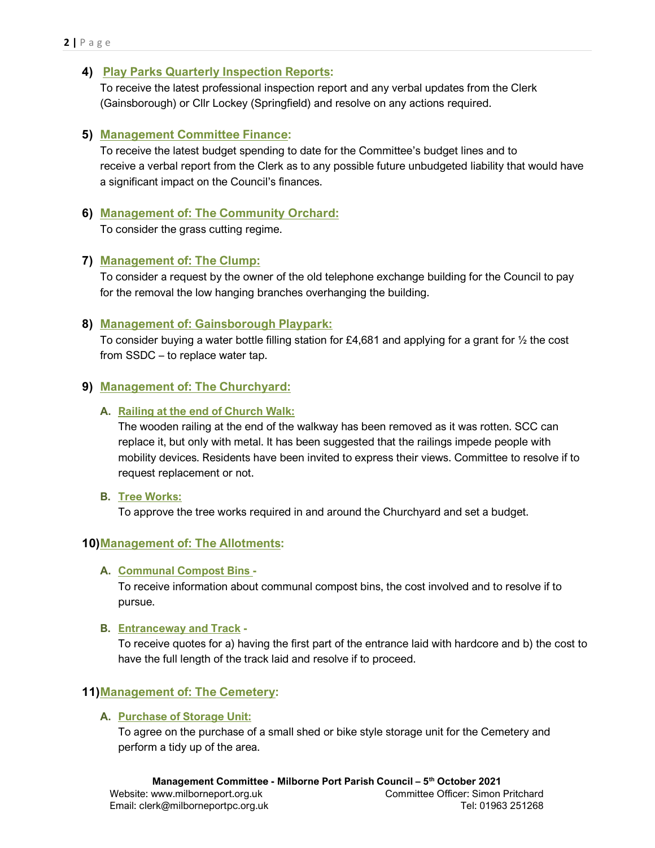#### 4) Play Parks Quarterly Inspection Reports:

To receive the latest professional inspection report and any verbal updates from the Clerk (Gainsborough) or Cllr Lockey (Springfield) and resolve on any actions required.

#### 5) Management Committee Finance:

To receive the latest budget spending to date for the Committee's budget lines and to receive a verbal report from the Clerk as to any possible future unbudgeted liability that would have a significant impact on the Council's finances.

#### 6) Management of: The Community Orchard:

To consider the grass cutting regime.

#### 7) Management of: The Clump:

To consider a request by the owner of the old telephone exchange building for the Council to pay for the removal the low hanging branches overhanging the building.

#### 8) Management of: Gainsborough Playpark:

To consider buying a water bottle filling station for £4,681 and applying for a grant for ½ the cost from SSDC – to replace water tap.

#### 9) Management of: The Churchyard:

#### A. Railing at the end of Church Walk:

The wooden railing at the end of the walkway has been removed as it was rotten. SCC can replace it, but only with metal. It has been suggested that the railings impede people with mobility devices. Residents have been invited to express their views. Committee to resolve if to request replacement or not.

#### B. Tree Works:

To approve the tree works required in and around the Churchyard and set a budget.

#### 10) Management of: The Allotments:

#### A. Communal Compost Bins -

To receive information about communal compost bins, the cost involved and to resolve if to pursue.

#### B. Entranceway and Track -

To receive quotes for a) having the first part of the entrance laid with hardcore and b) the cost to have the full length of the track laid and resolve if to proceed.

### 11)Management of: The Cemetery:

#### A. Purchase of Storage Unit:

To agree on the purchase of a small shed or bike style storage unit for the Cemetery and perform a tidy up of the area.